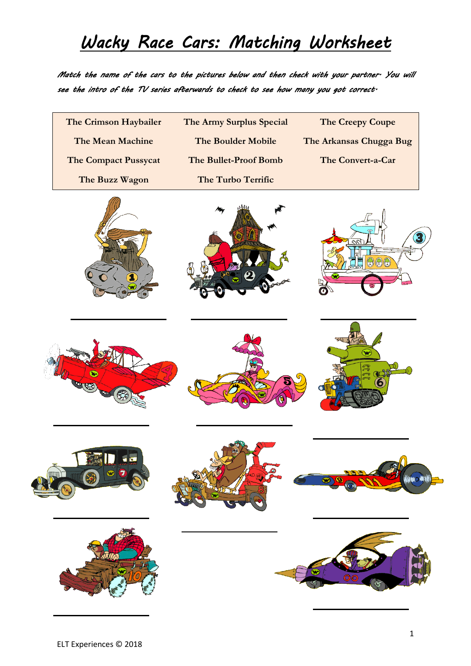#### *Wacky Race Cars: Matching Worksheet*

*Match the name of the cars to the pictures below and then check with your partner. You will see the intro of the TV series afterwards to check to see how many you got correct.* 

| The Crimson Haybailer   | The Army Surplus Special | The Creepy Coupe        |
|-------------------------|--------------------------|-------------------------|
| The Mean Machine        | The Boulder Mobile       | The Arkansas Chugga Bug |
| The Compact Pussycat    | The Bullet-Proof Bomb    | The Convert-a-Car       |
| The Buzz Wagon          | The Turbo Terrific       |                         |
|                         |                          | $\Theta$ $\Theta$       |
| Vo.<br>B<br><b>Sig-</b> |                          |                         |
|                         |                          |                         |
|                         |                          |                         |
|                         |                          |                         |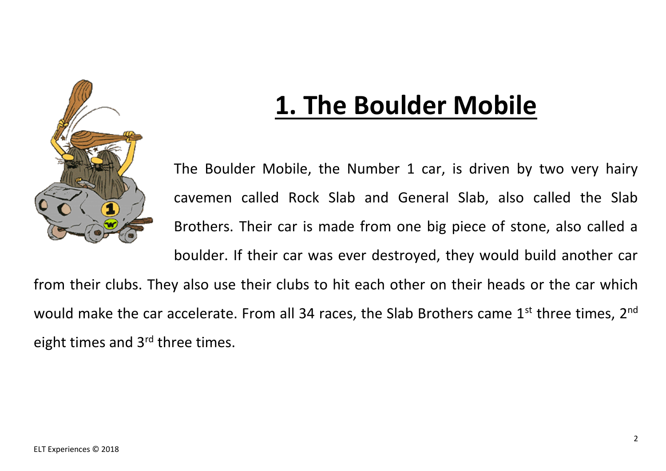

# **1. The Boulder Mobile**

The Boulder Mobile, the Number 1 car, is driven by two very hairy cavemen called Rock Slab and General Slab, also called the Slab Brothers. Their car is made from one big piece of stone, also called a boulder. If their car was ever destroyed, they would build another car from their clubs. They also use their clubs to hit each other on their heads or the car which

would make the car accelerate. From all 34 races, the Slab Brothers came  $1<sup>st</sup>$  three times,  $2<sup>nd</sup>$ eight times and 3<sup>rd</sup> three times.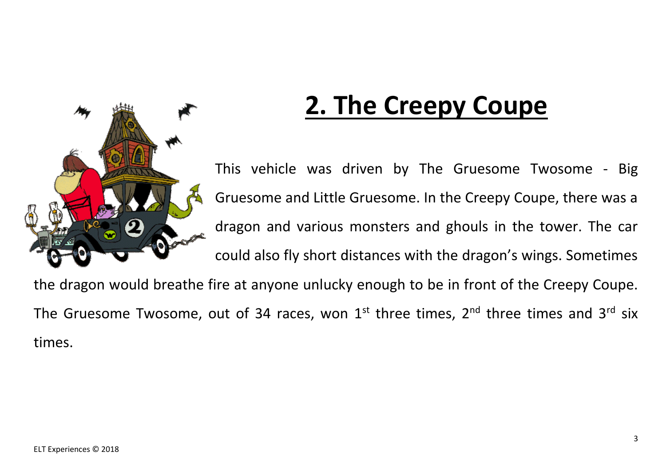

# **2. The Creepy Coupe**

This vehicle was driven by The Gruesome Twosome - Big Gruesome and Little Gruesome. In the Creepy Coupe, there was a dragon and various monsters and ghouls in the tower. The car could also fly short distances with the dragon's wings. Sometimes

the dragon would breathe fire at anyone unlucky enough to be in front of the Creepy Coupe. The Gruesome Twosome, out of 34 races, won  $1<sup>st</sup>$  three times,  $2<sup>nd</sup>$  three times and  $3<sup>rd</sup>$  six times.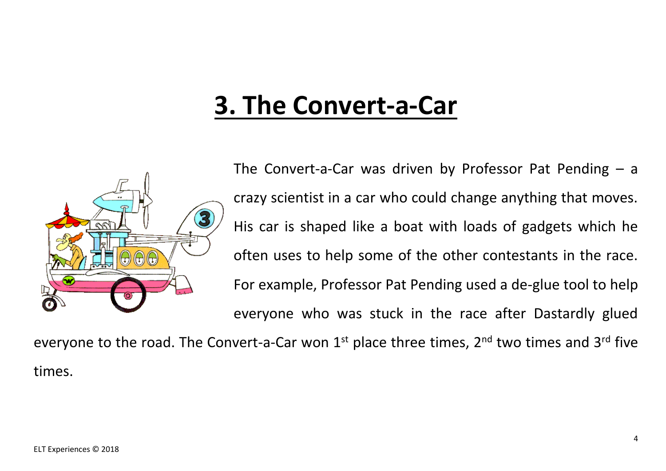#### **3. The Convert-a-Car**



The Convert-a-Car was driven by Professor Pat Pending  $-$  a crazy scientist in a car who could change anything that moves. His car is shaped like a boat with loads of gadgets which he often uses to help some of the other contestants in the race. For example, Professor Pat Pending used a de-glue tool to help everyone who was stuck in the race after Dastardly glued

everyone to the road. The Convert-a-Car won  $1<sup>st</sup>$  place three times,  $2<sup>nd</sup>$  two times and  $3<sup>rd</sup>$  five times.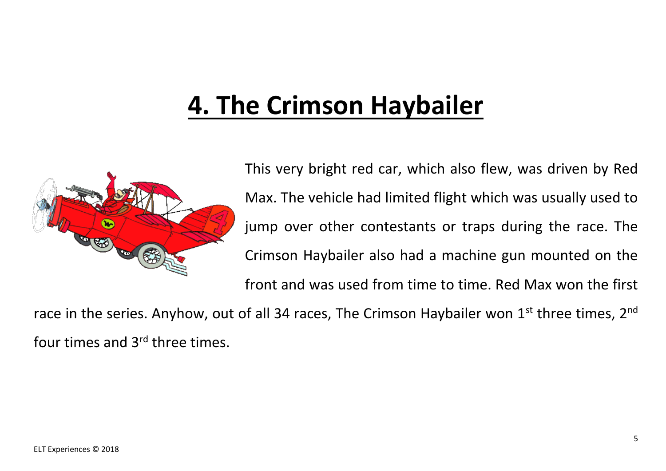## **4. The Crimson Haybailer**



This very bright red car, which also flew, was driven by Red Max. The vehicle had limited flight which was usually used to jump over other contestants or traps during the race. The Crimson Haybailer also had a machine gun mounted on the front and was used from time to time. Red Max won the first

race in the series. Anyhow, out of all 34 races, The Crimson Haybailer won  $1<sup>st</sup>$  three times,  $2<sup>nd</sup>$ four times and 3rd three times.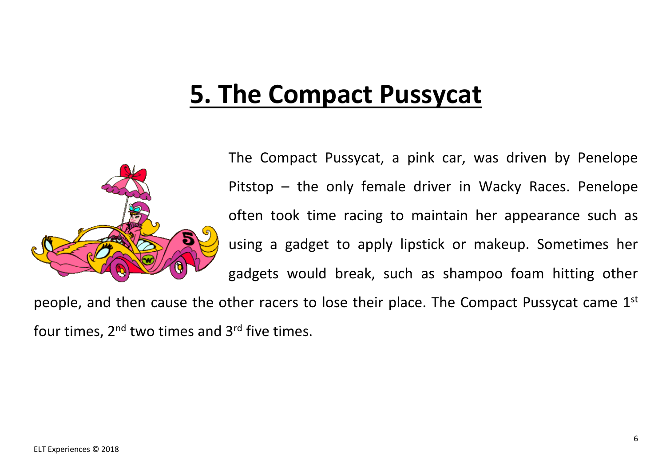## **5. The Compact Pussycat**



The Compact Pussycat, a pink car, was driven by Penelope Pitstop – the only female driver in Wacky Races. Penelope often took time racing to maintain her appearance such as using a gadget to apply lipstick or makeup. Sometimes her gadgets would break, such as shampoo foam hitting other

people, and then cause the other racers to lose their place. The Compact Pussycat came 1st four times,  $2^{nd}$  two times and  $3^{rd}$  five times.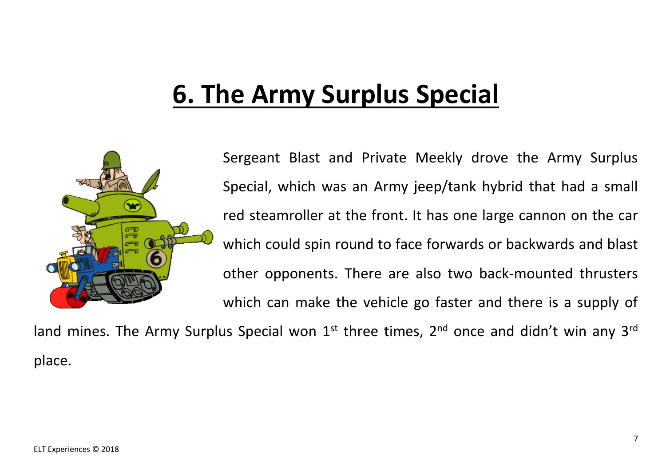# **6. The Army Surplus Special**



Sergeant Blast and Private Meekly drove the Army Surplus Special, which was an Army jeep/tank hybrid that had a small red steamroller at the front. It has one large cannon on the car which could spin round to face forwards or backwards and blast other opponents. There are also two back-mounted thrusters which can make the vehicle go faster and there is a supply of

land mines. The Army Surplus Special won  $1<sup>st</sup>$  three times,  $2<sup>nd</sup>$  once and didn't win any 3<sup>rd</sup> place.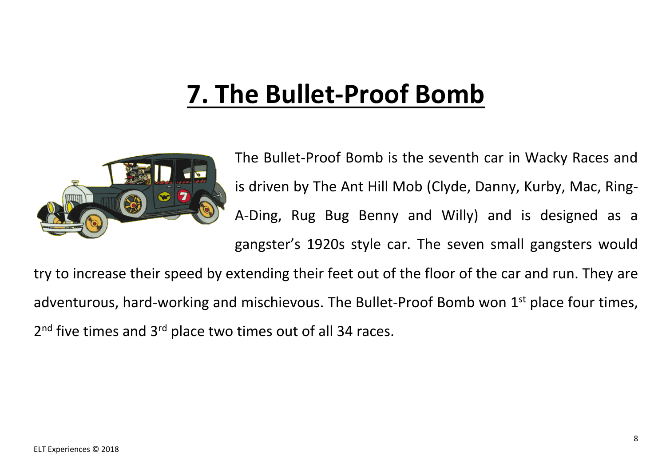# **7. The Bullet-Proof Bomb**



The Bullet-Proof Bomb is the seventh car in Wacky Races and is driven by The Ant Hill Mob (Clyde, Danny, Kurby, Mac, Ring-A-Ding, Rug Bug Benny and Willy) and is designed as a gangster's 1920s style car. The seven small gangsters would

try to increase their speed by extending their feet out of the floor of the car and run. They are adventurous, hard-working and mischievous. The Bullet-Proof Bomb won 1<sup>st</sup> place four times, 2<sup>nd</sup> five times and 3<sup>rd</sup> place two times out of all 34 races.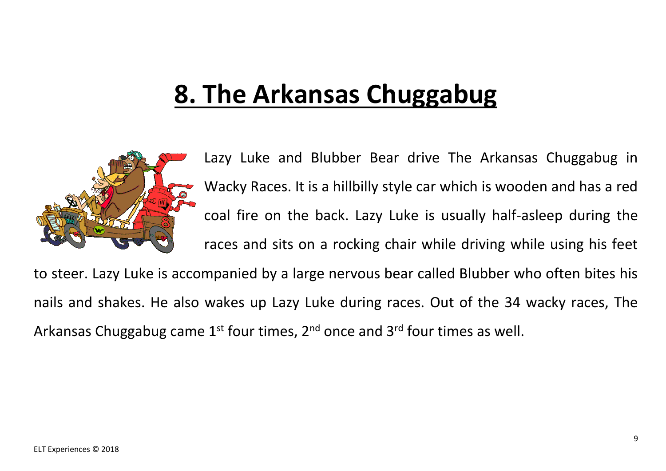# **8. The Arkansas Chuggabug**



Lazy Luke and Blubber Bear drive The Arkansas Chuggabug in Wacky Races. It is a hillbilly style car which is wooden and has a red coal fire on the back. Lazy Luke is usually half-asleep during the races and sits on a rocking chair while driving while using his feet

to steer. Lazy Luke is accompanied by a large nervous bear called Blubber who often bites his nails and shakes. He also wakes up Lazy Luke during races. Out of the 34 wacky races, The Arkansas Chuggabug came  $1^{st}$  four times,  $2^{nd}$  once and  $3^{rd}$  four times as well.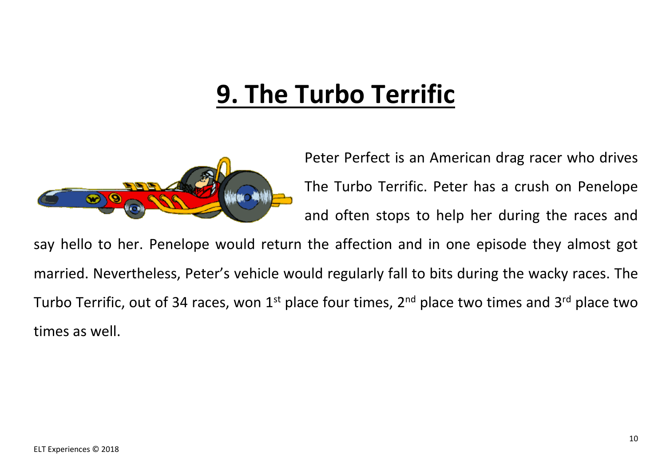# **9. The Turbo Terrific**



Peter Perfect is an American drag racer who drives The Turbo Terrific. Peter has a crush on Penelope and often stops to help her during the races and

say hello to her. Penelope would return the affection and in one episode they almost got married. Nevertheless, Peter's vehicle would regularly fall to bits during the wacky races. The Turbo Terrific, out of 34 races, won  $1<sup>st</sup>$  place four times,  $2<sup>nd</sup>$  place two times and  $3<sup>rd</sup>$  place two times as well.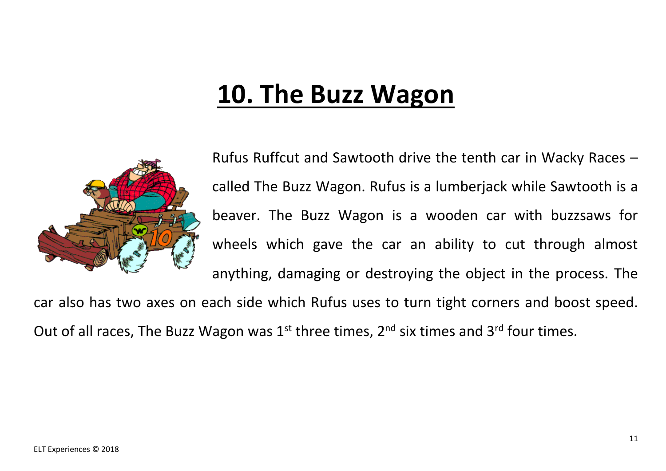## **10. The Buzz Wagon**



Rufus Ruffcut and Sawtooth drive the tenth car in Wacky Races – called The Buzz Wagon. Rufus is a lumberjack while Sawtooth is a beaver. The Buzz Wagon is a wooden car with buzzsaws for wheels which gave the car an ability to cut through almost anything, damaging or destroying the object in the process. The

car also has two axes on each side which Rufus uses to turn tight corners and boost speed. Out of all races, The Buzz Wagon was  $1^{st}$  three times,  $2^{nd}$  six times and  $3^{rd}$  four times.